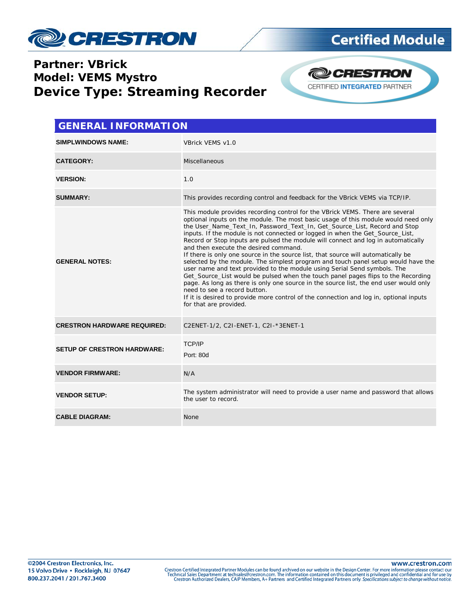

#### **Partner: VBrick Model: VEMS Mystro Device Type: Streaming Recorder**



| <b>GENERAL INFORMATION</b>         |                                                                                                                                                                                                                                                                                                                                                                                                                                                                                                                                                                                                                                                                                                                                                                                                                                                                                                                                                                                                                                                         |  |  |  |
|------------------------------------|---------------------------------------------------------------------------------------------------------------------------------------------------------------------------------------------------------------------------------------------------------------------------------------------------------------------------------------------------------------------------------------------------------------------------------------------------------------------------------------------------------------------------------------------------------------------------------------------------------------------------------------------------------------------------------------------------------------------------------------------------------------------------------------------------------------------------------------------------------------------------------------------------------------------------------------------------------------------------------------------------------------------------------------------------------|--|--|--|
| <b>SIMPLWINDOWS NAME:</b>          | VBrick VEMS v1.0                                                                                                                                                                                                                                                                                                                                                                                                                                                                                                                                                                                                                                                                                                                                                                                                                                                                                                                                                                                                                                        |  |  |  |
| <b>CATEGORY:</b>                   | Miscellaneous                                                                                                                                                                                                                                                                                                                                                                                                                                                                                                                                                                                                                                                                                                                                                                                                                                                                                                                                                                                                                                           |  |  |  |
| <b>VERSION:</b>                    | 1.0                                                                                                                                                                                                                                                                                                                                                                                                                                                                                                                                                                                                                                                                                                                                                                                                                                                                                                                                                                                                                                                     |  |  |  |
| <b>SUMMARY:</b>                    | This provides recording control and feedback for the VBrick VEMS via TCP/IP.                                                                                                                                                                                                                                                                                                                                                                                                                                                                                                                                                                                                                                                                                                                                                                                                                                                                                                                                                                            |  |  |  |
| <b>GENERAL NOTES:</b>              | This module provides recording control for the VBrick VEMS. There are several<br>optional inputs on the module. The most basic usage of this module would need only<br>the User Name Text In, Password Text In, Get Source List, Record and Stop<br>inputs. If the module is not connected or logged in when the Get_Source_List,<br>Record or Stop inputs are pulsed the module will connect and log in automatically<br>and then execute the desired command.<br>If there is only one source in the source list, that source will automatically be<br>selected by the module. The simplest program and touch panel setup would have the<br>user name and text provided to the module using Serial Send symbols. The<br>Get_Source_List would be pulsed when the touch panel pages flips to the Recording<br>page. As long as there is only one source in the source list, the end user would only<br>need to see a record button.<br>If it is desired to provide more control of the connection and log in, optional inputs<br>for that are provided. |  |  |  |
| <b>CRESTRON HARDWARE REQUIRED:</b> | C2ENET-1/2, C2I-ENET-1, C2I-*3ENET-1                                                                                                                                                                                                                                                                                                                                                                                                                                                                                                                                                                                                                                                                                                                                                                                                                                                                                                                                                                                                                    |  |  |  |
| <b>SETUP OF CRESTRON HARDWARE:</b> | <b>TCP/IP</b><br>Port: 80d                                                                                                                                                                                                                                                                                                                                                                                                                                                                                                                                                                                                                                                                                                                                                                                                                                                                                                                                                                                                                              |  |  |  |
| <b>VENDOR FIRMWARE:</b>            | N/A                                                                                                                                                                                                                                                                                                                                                                                                                                                                                                                                                                                                                                                                                                                                                                                                                                                                                                                                                                                                                                                     |  |  |  |
| <b>VENDOR SETUP:</b>               | The system administrator will need to provide a user name and password that allows<br>the user to record.                                                                                                                                                                                                                                                                                                                                                                                                                                                                                                                                                                                                                                                                                                                                                                                                                                                                                                                                               |  |  |  |
| <b>CABLE DIAGRAM:</b>              | None                                                                                                                                                                                                                                                                                                                                                                                                                                                                                                                                                                                                                                                                                                                                                                                                                                                                                                                                                                                                                                                    |  |  |  |

www.crestron.com

Crestron Certified Integrated Partner Modules can be found archived on our website in the Design Center. For more information please contact our<br>Technical Sales Department at techsales@crestron.com. The information contain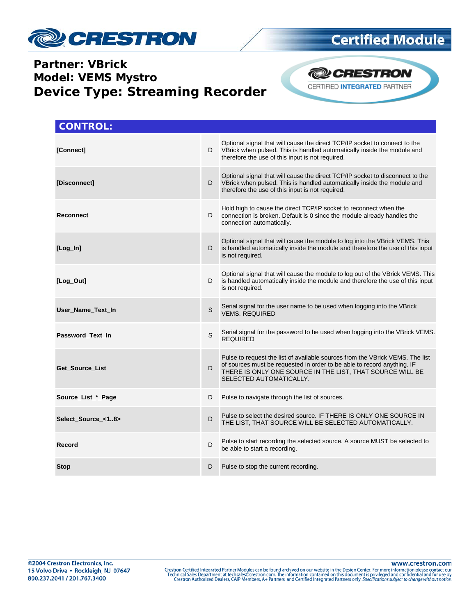

### **Partner: VBrick Model: VEMS Mystro Device Type: Streaming Recorder**



| <b>CONTROL:</b>    |   |                                                                                                                                                                                                                                                  |
|--------------------|---|--------------------------------------------------------------------------------------------------------------------------------------------------------------------------------------------------------------------------------------------------|
| [Connect]          | D | Optional signal that will cause the direct TCP/IP socket to connect to the<br>VBrick when pulsed. This is handled automatically inside the module and<br>therefore the use of this input is not required.                                        |
| [Disconnect]       | D | Optional signal that will cause the direct TCP/IP socket to disconnect to the<br>VBrick when pulsed. This is handled automatically inside the module and<br>therefore the use of this input is not required.                                     |
| <b>Reconnect</b>   | D | Hold high to cause the direct TCP/IP socket to reconnect when the<br>connection is broken. Default is 0 since the module already handles the<br>connection automatically.                                                                        |
| $[Log-In]$         | D | Optional signal that will cause the module to log into the VBrick VEMS. This<br>is handled automatically inside the module and therefore the use of this input<br>is not required.                                                               |
| [Log_Out]          | D | Optional signal that will cause the module to log out of the VBrick VEMS. This<br>is handled automatically inside the module and therefore the use of this input<br>is not required.                                                             |
| User_Name_Text_In  | S | Serial signal for the user name to be used when logging into the VBrick<br><b>VEMS, REQUIRED</b>                                                                                                                                                 |
| Password_Text_In   | S | Serial signal for the password to be used when logging into the VBrick VEMS.<br><b>REQUIRED</b>                                                                                                                                                  |
| Get_Source_List    | D | Pulse to request the list of available sources from the VBrick VEMS. The list<br>of sources must be requested in order to be able to record anything. IF<br>THERE IS ONLY ONE SOURCE IN THE LIST, THAT SOURCE WILL BE<br>SELECTED AUTOMATICALLY. |
| Source_List_*_Page | D | Pulse to navigate through the list of sources.                                                                                                                                                                                                   |
| Select_Source_<18> | D | Pulse to select the desired source. IF THERE IS ONLY ONE SOURCE IN<br>THE LIST, THAT SOURCE WILL BE SELECTED AUTOMATICALLY.                                                                                                                      |
| Record             | D | Pulse to start recording the selected source. A source MUST be selected to<br>be able to start a recording.                                                                                                                                      |
| <b>Stop</b>        | D | Pulse to stop the current recording.                                                                                                                                                                                                             |

www.crestron.com

Crestron Certified Integrated Partner Modules can be found archived on our website in the Design Center. For more information please contact our<br>Technical Sales Department at techsales@crestron.com. The information contain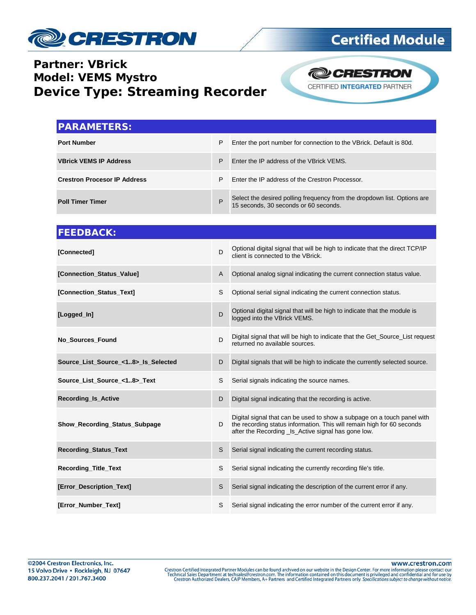

### **Partner: VBrick Model: VEMS Mystro Device Type: Streaming Recorder**



| <b>IPARAMETERS:</b>                 |   |                                                                                                                |
|-------------------------------------|---|----------------------------------------------------------------------------------------------------------------|
| <b>Port Number</b>                  | P | Enter the port number for connection to the VBrick. Default is 80d.                                            |
| <b>VBrick VEMS IP Address</b>       | P | Enter the IP address of the VBrick VEMS.                                                                       |
| <b>Crestron Procesor IP Address</b> | P | Enter the IP address of the Crestron Processor.                                                                |
| <b>Poll Timer Timer</b>             | P | Select the desired polling frequency from the dropdown list. Options are 15 seconds, 30 seconds or 60 seconds. |

| <b>FEEDBACK:</b>                    |                |                                                                                                                                                                                                         |
|-------------------------------------|----------------|---------------------------------------------------------------------------------------------------------------------------------------------------------------------------------------------------------|
| [Connected]                         | D              | Optional digital signal that will be high to indicate that the direct TCP/IP<br>client is connected to the VBrick.                                                                                      |
| [Connection Status Value]           | $\overline{A}$ | Optional analog signal indicating the current connection status value.                                                                                                                                  |
| [Connection_Status_Text]            | S              | Optional serial signal indicating the current connection status.                                                                                                                                        |
| [Logged_In]                         | D              | Optional digital signal that will be high to indicate that the module is<br>logged into the VBrick VEMS.                                                                                                |
| <b>No Sources Found</b>             | D              | Digital signal that will be high to indicate that the Get_Source_List request<br>returned no available sources.                                                                                         |
| Source_List_Source_<18>_Is_Selected | D              | Digital signals that will be high to indicate the currently selected source.                                                                                                                            |
| Source_List_Source_<18>_Text        | S              | Serial signals indicating the source names.                                                                                                                                                             |
| <b>Recording Is Active</b>          | D              | Digital signal indicating that the recording is active.                                                                                                                                                 |
| Show_Recording_Status_Subpage       | D              | Digital signal that can be used to show a subpage on a touch panel with<br>the recording status information. This will remain high for 60 seconds<br>after the Recording Is Active signal has gone low. |
| <b>Recording Status Text</b>        | S              | Serial signal indicating the current recording status.                                                                                                                                                  |
| <b>Recording Title Text</b>         | S              | Serial signal indicating the currently recording file's title.                                                                                                                                          |
| [Error_Description_Text]            | S              | Serial signal indicating the description of the current error if any.                                                                                                                                   |
| [Error_Number_Text]                 | S              | Serial signal indicating the error number of the current error if any.                                                                                                                                  |

www.crestron.com

Crestron Certified Integrated Partner Modules can be found archived on our website in the Design Center. For more information please contact our<br>Technical Sales Department at techsales@crestron.com. The information contain